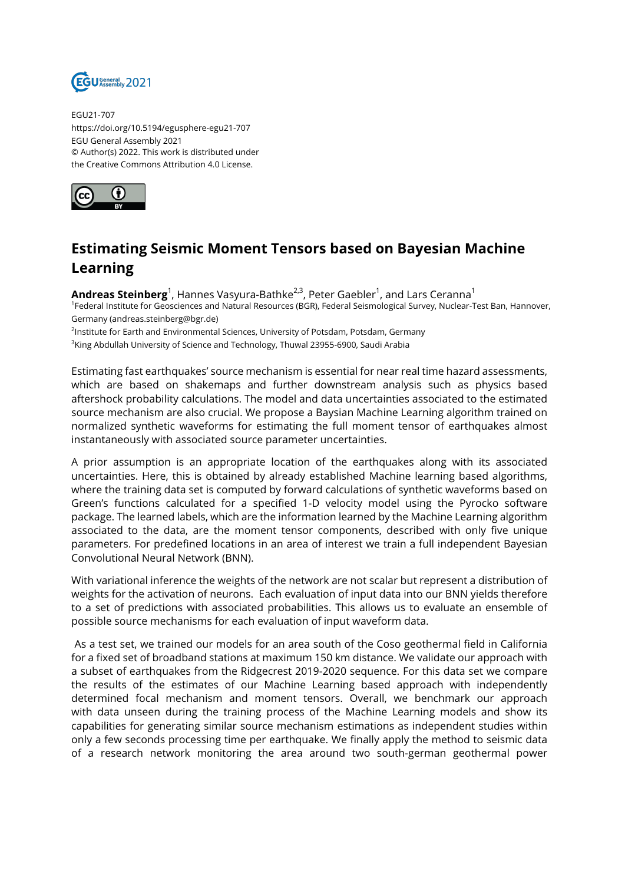

EGU21-707 https://doi.org/10.5194/egusphere-egu21-707 EGU General Assembly 2021 © Author(s) 2022. This work is distributed under the Creative Commons Attribution 4.0 License.



## **Estimating Seismic Moment Tensors based on Bayesian Machine Learning**

**Andreas Steinberg**<sup>1</sup>, Hannes Vasyura-Bathke<sup>2,3</sup>, Peter Gaebler<sup>1</sup>, and Lars Ceranna<sup>1</sup> <sup>1</sup>Federal Institute for Geosciences and Natural Resources (BGR), Federal Seismological Survey, Nuclear-Test Ban, Hannover, Germany (andreas.steinberg@bgr.de)

<sup>2</sup>lnstitute for Earth and Environmental Sciences, University of Potsdam, Potsdam, Germany

 $^3$ King Abdullah University of Science and Technology, Thuwal 23955-6900, Saudi Arabia

Estimating fast earthquakes' source mechanism is essential for near real time hazard assessments, which are based on shakemaps and further downstream analysis such as physics based aftershock probability calculations. The model and data uncertainties associated to the estimated source mechanism are also crucial. We propose a Baysian Machine Learning algorithm trained on normalized synthetic waveforms for estimating the full moment tensor of earthquakes almost instantaneously with associated source parameter uncertainties.

A prior assumption is an appropriate location of the earthquakes along with its associated uncertainties. Here, this is obtained by already established Machine learning based algorithms, where the training data set is computed by forward calculations of synthetic waveforms based on Green's functions calculated for a specified 1-D velocity model using the Pyrocko software package. The learned labels, which are the information learned by the Machine Learning algorithm associated to the data, are the moment tensor components, described with only five unique parameters. For predefined locations in an area of interest we train a full independent Bayesian Convolutional Neural Network (BNN).

With variational inference the weights of the network are not scalar but represent a distribution of weights for the activation of neurons. Each evaluation of input data into our BNN yields therefore to a set of predictions with associated probabilities. This allows us to evaluate an ensemble of possible source mechanisms for each evaluation of input waveform data.

As a test set, we trained our models for an area south of the Coso geothermal field in California for a fixed set of broadband stations at maximum 150 km distance. We validate our approach with a subset of earthquakes from the Ridgecrest 2019-2020 sequence. For this data set we compare the results of the estimates of our Machine Learning based approach with independently determined focal mechanism and moment tensors. Overall, we benchmark our approach with data unseen during the training process of the Machine Learning models and show its capabilities for generating similar source mechanism estimations as independent studies within only a few seconds processing time per earthquake. We finally apply the method to seismic data of a research network monitoring the area around two south-german geothermal power